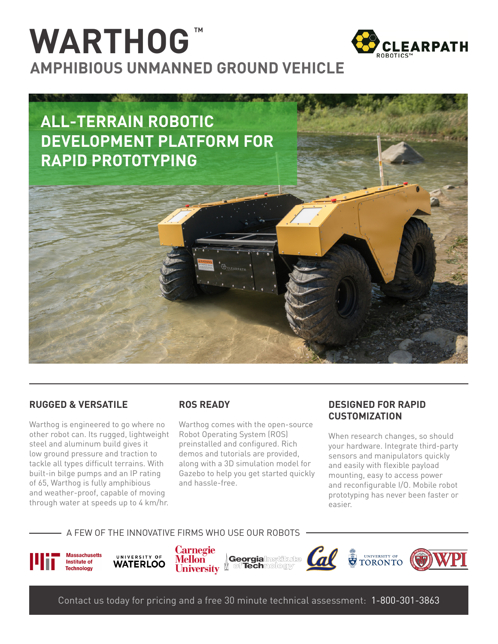# WARTHOG<sup>M</sup> **AMPHIBIOUS UNMANNED GROUND VEHICLE**





### **RUGGED & VERSATILE**

Warthog is engineered to go where no other robot can. Its rugged, lightweight steel and aluminum build gives it low ground pressure and traction to tackle all types difficult terrains. With built-in bilge pumps and an IP rating of 65, Warthog is fully amphibious and weather-proof, capable of moving through water at speeds up to 4 km/hr.

### **ROS READY**

Warthog comes with the open-source Robot Operating System (ROS) preinstalled and configured. Rich demos and tutorials are provided, along with a 3D simulation model for Gazebo to help you get started quickly and hassle-free.

### *DESIGNED FOR RAPID* **CUSTOMIZATION**

When research changes, so should your hardware. Integrate third-party sensors and manipulators quickly and easily with flexible payload mounting, easy to access power and reconfigurable I/O. Mobile robot prototyping has never been faster or .easier

#### A FEW OF THE INNOVATIVE FIRMS WHO USE OUR ROBOTS



UNIVERSITY OF **WATERLOO** 

**Carnegie Mellon** *Georgialnstitutte* **University designal Surgeon** 





Contact us today for pricing and a free 30 minute technical assessment: 1-800-301-3863